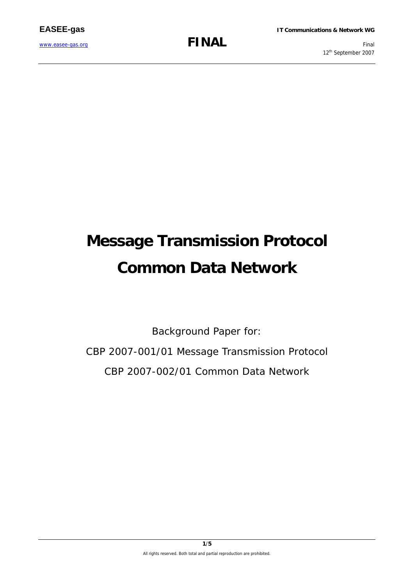12<sup>th</sup> September 2007

# **Message Transmission Protocol Common Data Network**

Background Paper for:

CBP 2007-001/01 Message Transmission Protocol CBP 2007-002/01 Common Data Network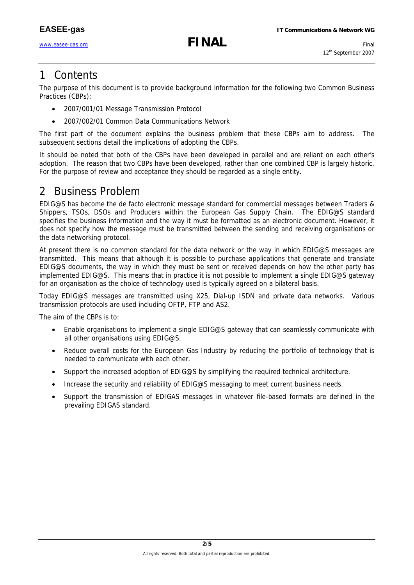www.easee-gas.org **FINAL** Final

### 1 Contents

The purpose of this document is to provide background information for the following two Common Business Practices (CBPs):

- 2007/001/01 Message Transmission Protocol
- 2007/002/01 Common Data Communications Network

The first part of the document explains the business problem that these CBPs aim to address. The subsequent sections detail the implications of adopting the CBPs.

It should be noted that both of the CBPs have been developed in parallel and are reliant on each other's adoption. The reason that two CBPs have been developed, rather than one combined CBP is largely historic. For the purpose of review and acceptance they should be regarded as a single entity.

## 2 Business Problem

EDIG@S has become the de facto electronic message standard for commercial messages between Traders & Shippers, TSOs, DSOs and Producers within the European Gas Supply Chain. The EDIG@S standard specifies the business information and the way it must be formatted as an electronic document. However, it does not specify how the message must be transmitted between the sending and receiving organisations or the data networking protocol.

At present there is no common standard for the data network or the way in which EDIG@S messages are transmitted. This means that although it is possible to purchase applications that generate and translate EDIG@S documents, the way in which they must be sent or received depends on how the other party has implemented EDIG@S. This means that in practice it is not possible to implement a single EDIG@S gateway for an organisation as the choice of technology used is typically agreed on a bilateral basis.

Today EDIG@S messages are transmitted using X25, Dial-up ISDN and private data networks. Various transmission protocols are used including OFTP, FTP and AS2.

The aim of the CBPs is to:

- Enable organisations to implement a single EDIG@S gateway that can seamlessly communicate with all other organisations using EDIG@S.
- Reduce overall costs for the European Gas Industry by reducing the portfolio of technology that is needed to communicate with each other.
- Support the increased adoption of EDIG@S by simplifying the required technical architecture.
- Increase the security and reliability of EDIG@S messaging to meet current business needs.
- Support the transmission of EDIGAS messages in whatever file-based formats are defined in the prevailing EDIGAS standard.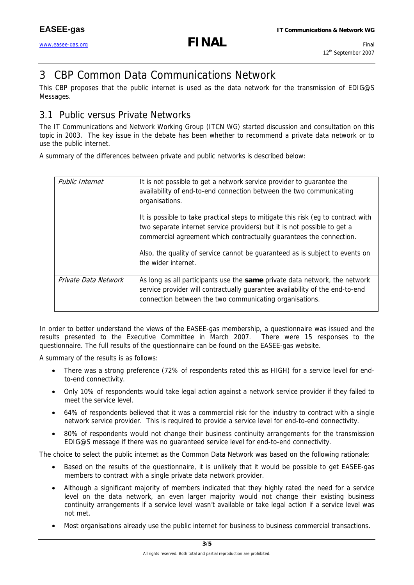## www.easee-gas.org **FINAL** Final

## 3 CBP Common Data Communications Network

This CBP proposes that the public internet is used as the data network for the transmission of EDIG@S Messages.

#### 3.1 Public versus Private Networks

The IT Communications and Network Working Group (ITCN WG) started discussion and consultation on this topic in 2003. The key issue in the debate has been whether to recommend a private data network or to use the public internet.

A summary of the differences between private and public networks is described below:

| Public Internet      | It is not possible to get a network service provider to quarantee the<br>availability of end-to-end connection between the two communicating<br>organisations.                                                                       |
|----------------------|--------------------------------------------------------------------------------------------------------------------------------------------------------------------------------------------------------------------------------------|
|                      | It is possible to take practical steps to mitigate this risk (eg to contract with<br>two separate internet service providers) but it is not possible to get a<br>commercial agreement which contractually guarantees the connection. |
|                      | Also, the quality of service cannot be guaranteed as is subject to events on<br>the wider internet.                                                                                                                                  |
| Private Data Network | As long as all participants use the same private data network, the network<br>service provider will contractually guarantee availability of the end-to-end<br>connection between the two communicating organisations.                |

In order to better understand the views of the EASEE-gas membership, a questionnaire was issued and the results presented to the Executive Committee in March 2007. There were 15 responses to the questionnaire. The full results of the questionnaire can be found on the EASEE-gas website.

A summary of the results is as follows:

- There was a strong preference (72% of respondents rated this as HIGH) for a service level for endto-end connectivity.
- Only 10% of respondents would take legal action against a network service provider if they failed to meet the service level.
- 64% of respondents believed that it was a commercial risk for the industry to contract with a single network service provider. This is required to provide a service level for end-to-end connectivity.
- 80% of respondents would not change their business continuity arrangements for the transmission EDIG@S message if there was no guaranteed service level for end-to-end connectivity.

The choice to select the public internet as the Common Data Network was based on the following rationale:

- Based on the results of the questionnaire, it is unlikely that it would be possible to get EASEE-gas members to contract with a single private data network provider.
- Although a significant majority of members indicated that they highly rated the need for a service level on the data network, an even larger majority would not change their existing business continuity arrangements if a service level wasn't available or take legal action if a service level was not met.
- Most organisations already use the public internet for business to business commercial transactions.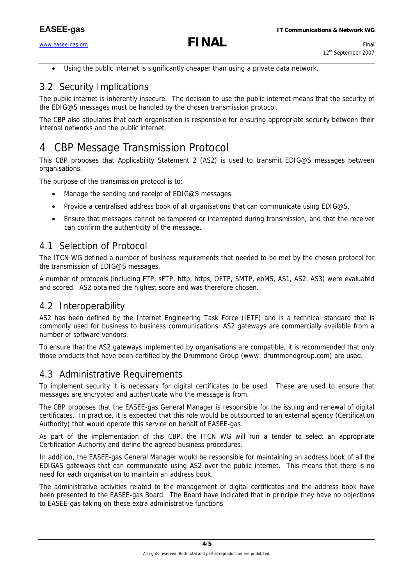www.easee-gas.org **FINAL** Final

Using the public internet is significantly cheaper than using a private data network.

#### 3.2 Security Implications

The public internet is inherently insecure. The decision to use the public internet means that the security of the EDIG@S messages must be handled by the chosen transmission protocol.

The CBP also stipulates that each organisation is responsible for ensuring appropriate security between their internal networks and the public internet.

## 4 CBP Message Transmission Protocol

This CBP proposes that Applicability Statement 2 (AS2) is used to transmit EDIG@S messages between organisations.

The purpose of the transmission protocol is to:

- Manage the sending and receipt of EDIG@S messages.
- Provide a centralised address book of all organisations that can communicate using EDIG@S.
- Ensure that messages cannot be tampered or intercepted during transmission, and that the receiver can confirm the authenticity of the message.

#### 4.1 Selection of Protocol

The ITCN WG defined a number of business requirements that needed to be met by the chosen protocol for the transmission of EDIG@S messages.

A number of protocols (including FTP, sFTP, http, https, OFTP, SMTP, ebMS, AS1, AS2, AS3) were evaluated and scored. AS2 obtained the highest score and was therefore chosen.

#### 4.2 Interoperability

AS2 has been defined by the Internet Engineering Task Force (IETF) and is a technical standard that is commonly used for business to business communications. AS2 gateways are commercially available from a number of software vendors.

To ensure that the AS2 gateways implemented by organisations are compatible, it is recommended that only those products that have been certified by the Drummond Group (www. drummondgroup.com) are used.

#### 4.3 Administrative Requirements

To implement security it is necessary for digital certificates to be used. These are used to ensure that messages are encrypted and authenticate who the message is from.

The CBP proposes that the EASEE-gas General Manager is responsible for the issuing and renewal of digital certificates. In practice, it is expected that this role would be outsourced to an external agency (Certification Authority) that would operate this service on behalf of EASEE-gas.

As part of the implementation of this CBP, the ITCN WG will run a tender to select an appropriate Certification Authority and define the agreed business procedures.

In addition, the EASEE-gas General Manager would be responsible for maintaining an address book of all the EDIGAS gateways that can communicate using AS2 over the public internet. This means that there is no need for each organisation to maintain an address book.

The administrative activities related to the management of digital certificates and the address book have been presented to the EASEE-gas Board. The Board have indicated that in principle they have no objections to EASEE-gas taking on these extra administrative functions.